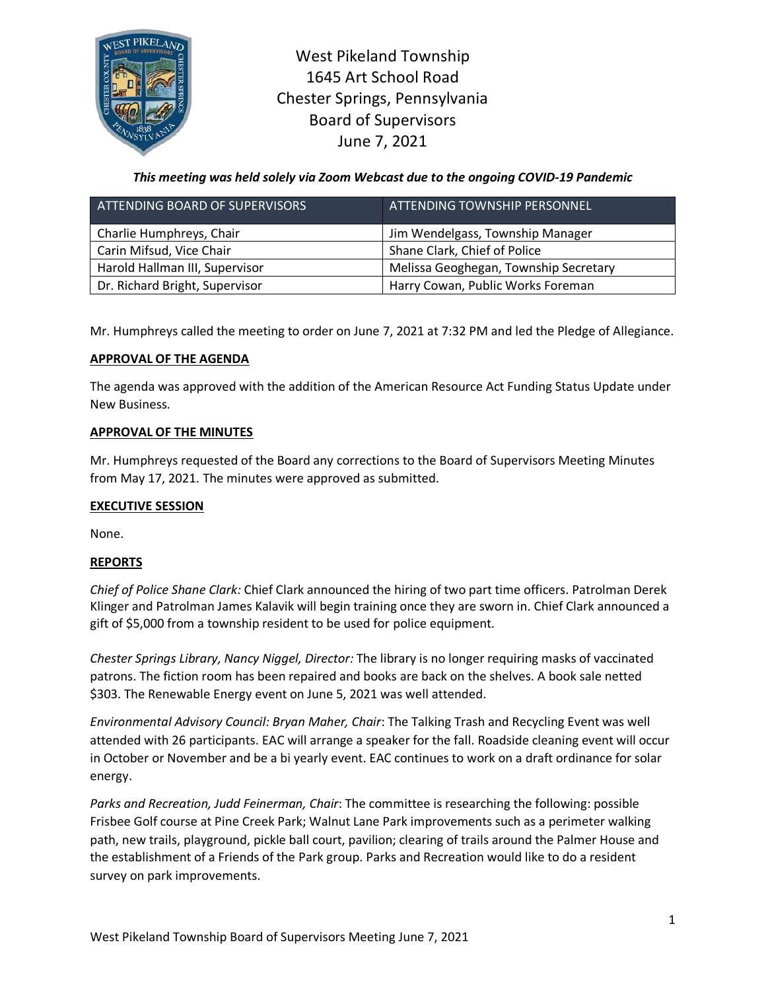

West Pikeland Township 1645 Art School Road Chester Springs, Pennsylvania Board of Supervisors June 7, 2021

*This meeting was held solely via Zoom Webcast due to the ongoing COVID-19 Pandemic*

| ATTENDING BOARD OF SUPERVISORS | ATTENDING TOWNSHIP PERSONNEL          |
|--------------------------------|---------------------------------------|
| Charlie Humphreys, Chair       | Jim Wendelgass, Township Manager      |
| Carin Mifsud, Vice Chair       | Shane Clark, Chief of Police          |
| Harold Hallman III, Supervisor | Melissa Geoghegan, Township Secretary |
| Dr. Richard Bright, Supervisor | Harry Cowan, Public Works Foreman     |

Mr. Humphreys called the meeting to order on June 7, 2021 at 7:32 PM and led the Pledge of Allegiance.

### **APPROVAL OF THE AGENDA**

The agenda was approved with the addition of the American Resource Act Funding Status Update under New Business.

### **APPROVAL OF THE MINUTES**

Mr. Humphreys requested of the Board any corrections to the Board of Supervisors Meeting Minutes from May 17, 2021. The minutes were approved as submitted.

### **EXECUTIVE SESSION**

None.

### **REPORTS**

*Chief of Police Shane Clark:* Chief Clark announced the hiring of two part time officers. Patrolman Derek Klinger and Patrolman James Kalavik will begin training once they are sworn in. Chief Clark announced a gift of \$5,000 from a township resident to be used for police equipment.

*Chester Springs Library, Nancy Niggel, Director:* The library is no longer requiring masks of vaccinated patrons. The fiction room has been repaired and books are back on the shelves. A book sale netted \$303. The Renewable Energy event on June 5, 2021 was well attended.

*Environmental Advisory Council: Bryan Maher, Chair*: The Talking Trash and Recycling Event was well attended with 26 participants. EAC will arrange a speaker for the fall. Roadside cleaning event will occur in October or November and be a bi yearly event. EAC continues to work on a draft ordinance for solar energy.

*Parks and Recreation, Judd Feinerman, Chair*: The committee is researching the following: possible Frisbee Golf course at Pine Creek Park; Walnut Lane Park improvements such as a perimeter walking path, new trails, playground, pickle ball court, pavilion; clearing of trails around the Palmer House and the establishment of a Friends of the Park group. Parks and Recreation would like to do a resident survey on park improvements.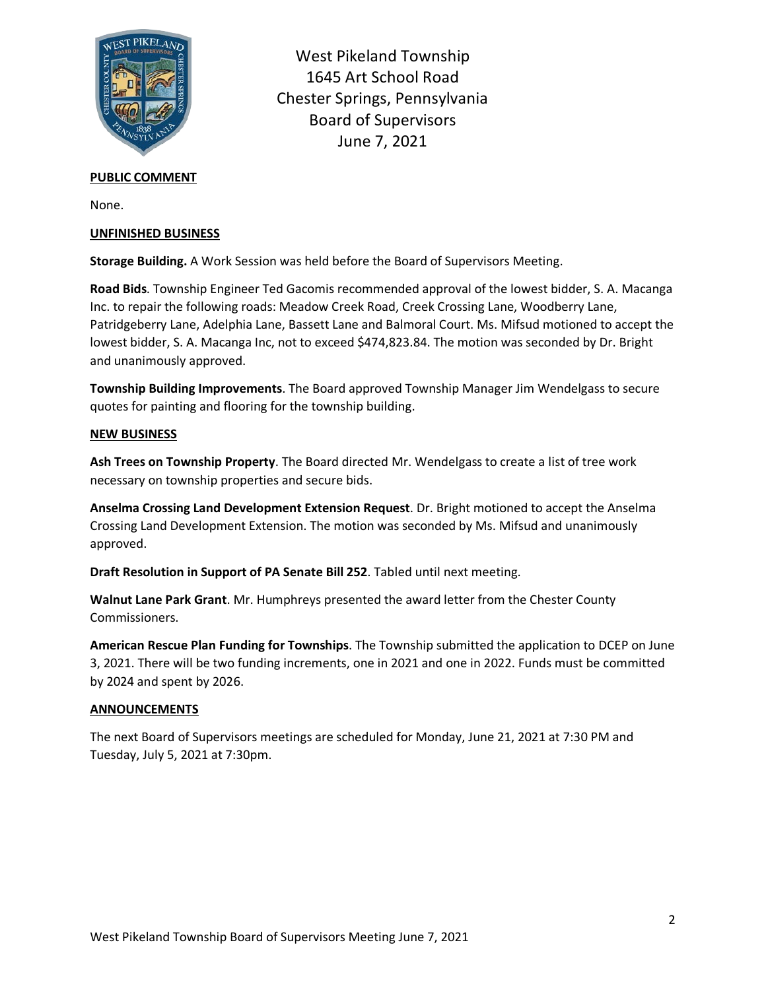

West Pikeland Township 1645 Art School Road Chester Springs, Pennsylvania Board of Supervisors June 7, 2021

## **PUBLIC COMMENT**

None.

#### **UNFINISHED BUSINESS**

**Storage Building.** A Work Session was held before the Board of Supervisors Meeting.

**Road Bids**. Township Engineer Ted Gacomis recommended approval of the lowest bidder, S. A. Macanga Inc. to repair the following roads: Meadow Creek Road, Creek Crossing Lane, Woodberry Lane, Patridgeberry Lane, Adelphia Lane, Bassett Lane and Balmoral Court. Ms. Mifsud motioned to accept the lowest bidder, S. A. Macanga Inc, not to exceed \$474,823.84. The motion was seconded by Dr. Bright and unanimously approved.

**Township Building Improvements**. The Board approved Township Manager Jim Wendelgass to secure quotes for painting and flooring for the township building.

### **NEW BUSINESS**

**Ash Trees on Township Property**. The Board directed Mr. Wendelgass to create a list of tree work necessary on township properties and secure bids.

**Anselma Crossing Land Development Extension Request**. Dr. Bright motioned to accept the Anselma Crossing Land Development Extension. The motion was seconded by Ms. Mifsud and unanimously approved.

**Draft Resolution in Support of PA Senate Bill 252**. Tabled until next meeting.

**Walnut Lane Park Grant**. Mr. Humphreys presented the award letter from the Chester County Commissioners.

**American Rescue Plan Funding for Townships**. The Township submitted the application to DCEP on June 3, 2021. There will be two funding increments, one in 2021 and one in 2022. Funds must be committed by 2024 and spent by 2026.

### **ANNOUNCEMENTS**

The next Board of Supervisors meetings are scheduled for Monday, June 21, 2021 at 7:30 PM and Tuesday, July 5, 2021 at 7:30pm.